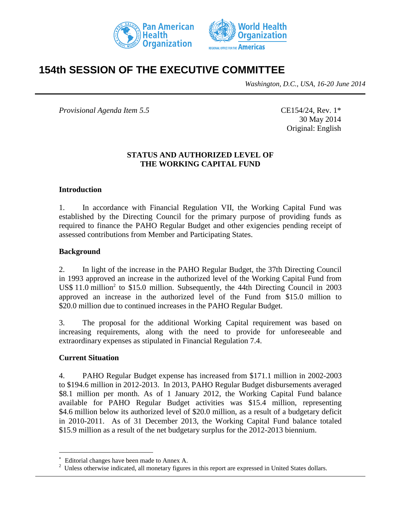



# **154th SESSION OF THE EXECUTIVE COMMITTEE**

*Washington, D.C., USA, 16-20 June 2014*

*Provisional Agenda Item 5.5* CE154/24, Rev. 1\*

30 May 2014 Original: English

### **STATUS AND AUTHORIZED LEVEL OF THE WORKING CAPITAL FUND**

#### **Introduction**

1. In accordance with Financial Regulation VII, the Working Capital Fund was established by the Directing Council for the primary purpose of providing funds as required to finance the PAHO Regular Budget and other exigencies pending receipt of assessed contributions from Member and Participating States.

#### **Background**

2. In light of the increase in the PAHO Regular Budget, the 37th Directing Council in 1993 approved an increase in the authorized level of the Working Capital Fund from US\$ 11.0 million<sup>2</sup> to \$15.0 million. Subsequently, the 44th Directing Council in 2003 approved an increase in the authorized level of the Fund from \$15.0 million to \$20.0 million due to continued increases in the PAHO Regular Budget.

3. The proposal for the additional Working Capital requirement was based on increasing requirements, along with the need to provide for unforeseeable and extraordinary expenses as stipulated in Financial Regulation 7.4.

#### **Current Situation**

 $\overline{a}$ 

4. PAHO Regular Budget expense has increased from \$171.1 million in 2002-2003 to \$194.6 million in 2012-2013. In 2013, PAHO Regular Budget disbursements averaged \$8.1 million per month. As of 1 January 2012, the Working Capital Fund balance available for PAHO Regular Budget activities was \$15.4 million, representing \$4.6 million below its authorized level of \$20.0 million, as a result of a budgetary deficit in 2010-2011. As of 31 December 2013, the Working Capital Fund balance totaled \$15.9 million as a result of the net budgetary surplus for the 2012-2013 biennium.

Editorial changes have been made to Annex A.

 $2$  Unless otherwise indicated, all monetary figures in this report are expressed in United States dollars.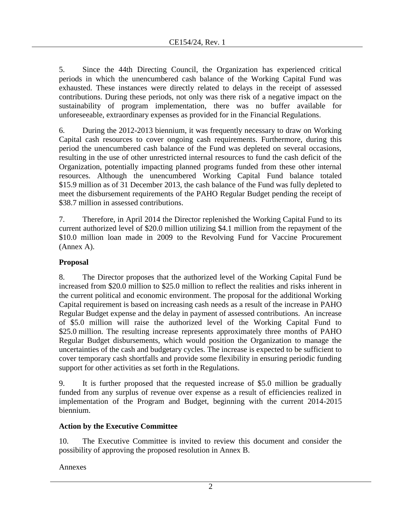5. Since the 44th Directing Council, the Organization has experienced critical periods in which the unencumbered cash balance of the Working Capital Fund was exhausted. These instances were directly related to delays in the receipt of assessed contributions. During these periods, not only was there risk of a negative impact on the sustainability of program implementation, there was no buffer available for unforeseeable, extraordinary expenses as provided for in the Financial Regulations.

6. During the 2012-2013 biennium, it was frequently necessary to draw on Working Capital cash resources to cover ongoing cash requirements. Furthermore, during this period the unencumbered cash balance of the Fund was depleted on several occasions, resulting in the use of other unrestricted internal resources to fund the cash deficit of the Organization, potentially impacting planned programs funded from these other internal resources. Although the unencumbered Working Capital Fund balance totaled \$15.9 million as of 31 December 2013, the cash balance of the Fund was fully depleted to meet the disbursement requirements of the PAHO Regular Budget pending the receipt of \$38.7 million in assessed contributions.

7. Therefore, in April 2014 the Director replenished the Working Capital Fund to its current authorized level of \$20.0 million utilizing \$4.1 million from the repayment of the \$10.0 million loan made in 2009 to the Revolving Fund for Vaccine Procurement (Annex A).

### **Proposal**

8. The Director proposes that the authorized level of the Working Capital Fund be increased from \$20.0 million to \$25.0 million to reflect the realities and risks inherent in the current political and economic environment. The proposal for the additional Working Capital requirement is based on increasing cash needs as a result of the increase in PAHO Regular Budget expense and the delay in payment of assessed contributions. An increase of \$5.0 million will raise the authorized level of the Working Capital Fund to \$25.0 million. The resulting increase represents approximately three months of PAHO Regular Budget disbursements, which would position the Organization to manage the uncertainties of the cash and budgetary cycles. The increase is expected to be sufficient to cover temporary cash shortfalls and provide some flexibility in ensuring periodic funding support for other activities as set forth in the Regulations.

9. It is further proposed that the requested increase of \$5.0 million be gradually funded from any surplus of revenue over expense as a result of efficiencies realized in implementation of the Program and Budget, beginning with the current 2014-2015 biennium.

### **Action by the Executive Committee**

10. The Executive Committee is invited to review this document and consider the possibility of approving the proposed resolution in Annex B.

Annexes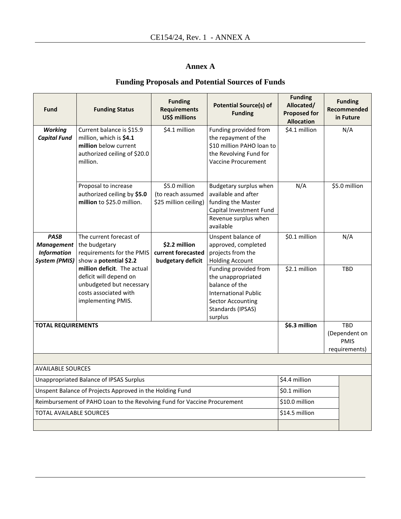### **Annex A**

## **Funding Proposals and Potential Sources of Funds**

| Fund                                                                                                | <b>Funding Status</b>                                                                                                            | <b>Funding</b><br><b>Requirements</b><br>US\$ millions      | <b>Potential Source(s) of</b><br><b>Funding</b>                                                                                                          | <b>Funding</b><br>Allocated/<br><b>Proposed for</b><br><b>Allocation</b> | <b>Funding</b><br>Recommended<br>in Future                  |  |
|-----------------------------------------------------------------------------------------------------|----------------------------------------------------------------------------------------------------------------------------------|-------------------------------------------------------------|----------------------------------------------------------------------------------------------------------------------------------------------------------|--------------------------------------------------------------------------|-------------------------------------------------------------|--|
| <b>Working</b><br><b>Capital Fund</b>                                                               | Current balance is \$15.9<br>million, which is \$4.1<br>million below current<br>authorized ceiling of \$20.0<br>million.        | \$4.1 million                                               | Funding provided from<br>the repayment of the<br>\$10 million PAHO loan to<br>the Revolving Fund for<br><b>Vaccine Procurement</b>                       | \$4.1 million                                                            | N/A                                                         |  |
|                                                                                                     | Proposal to increase<br>authorized ceiling by \$5.0<br>million to \$25.0 million.                                                | \$5.0 million<br>(to reach assumed<br>\$25 million ceiling) | Budgetary surplus when<br>available and after<br>funding the Master<br>Capital Investment Fund<br>Revenue surplus when<br>available                      | N/A                                                                      | \$5.0 million                                               |  |
| <b>PASB</b><br><b>Management</b><br><b>Information</b><br><b>System (PMIS)</b>                      | The current forecast of<br>the budgetary<br>requirements for the PMIS<br>show a potential \$2.2                                  | \$2.2 million<br>current forecasted<br>budgetary deficit    | Unspent balance of<br>approved, completed<br>projects from the<br><b>Holding Account</b>                                                                 | \$0.1 million                                                            | N/A                                                         |  |
|                                                                                                     | million deficit. The actual<br>deficit will depend on<br>unbudgeted but necessary<br>costs associated with<br>implementing PMIS. |                                                             | Funding provided from<br>the unappropriated<br>balance of the<br><b>International Public</b><br><b>Sector Accounting</b><br>Standards (IPSAS)<br>surplus | \$2.1 million                                                            | <b>TBD</b>                                                  |  |
| <b>TOTAL REQUIREMENTS</b>                                                                           |                                                                                                                                  |                                                             |                                                                                                                                                          | \$6.3 million                                                            | <b>TBD</b><br>(Dependent on<br><b>PMIS</b><br>requirements) |  |
|                                                                                                     |                                                                                                                                  |                                                             |                                                                                                                                                          |                                                                          |                                                             |  |
| <b>AVAILABLE SOURCES</b>                                                                            |                                                                                                                                  |                                                             |                                                                                                                                                          |                                                                          |                                                             |  |
| Unappropriated Balance of IPSAS Surplus<br>Unspent Balance of Projects Approved in the Holding Fund |                                                                                                                                  |                                                             |                                                                                                                                                          | \$4.4 million<br>\$0.1 million                                           |                                                             |  |
| Reimbursement of PAHO Loan to the Revolving Fund for Vaccine Procurement                            |                                                                                                                                  |                                                             |                                                                                                                                                          | \$10.0 million                                                           |                                                             |  |
| <b>TOTAL AVAILABLE SOURCES</b>                                                                      |                                                                                                                                  |                                                             |                                                                                                                                                          | \$14.5 million                                                           |                                                             |  |
|                                                                                                     |                                                                                                                                  |                                                             |                                                                                                                                                          |                                                                          |                                                             |  |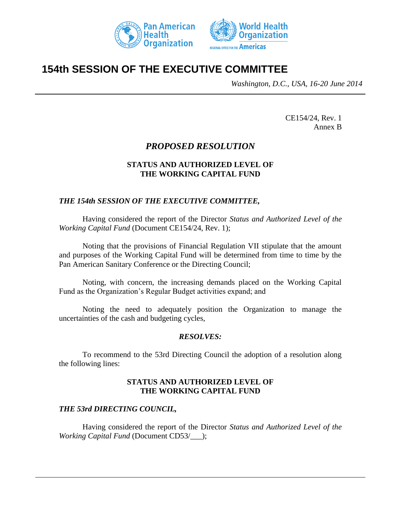



# **154th SESSION OF THE EXECUTIVE COMMITTEE**

*Washington, D.C., USA, 16-20 June 2014*

CE154/24, Rev. 1 Annex B

### *PROPOSED RESOLUTION*

### **STATUS AND AUTHORIZED LEVEL OF THE WORKING CAPITAL FUND**

### *THE 154th SESSION OF THE EXECUTIVE COMMITTEE,*

Having considered the report of the Director *Status and Authorized Level of the Working Capital Fund* (Document CE154/24, Rev. 1);

Noting that the provisions of Financial Regulation VII stipulate that the amount and purposes of the Working Capital Fund will be determined from time to time by the Pan American Sanitary Conference or the Directing Council;

Noting, with concern, the increasing demands placed on the Working Capital Fund as the Organization's Regular Budget activities expand; and

Noting the need to adequately position the Organization to manage the uncertainties of the cash and budgeting cycles,

### *RESOLVES:*

To recommend to the 53rd Directing Council the adoption of a resolution along the following lines:

#### **STATUS AND AUTHORIZED LEVEL OF THE WORKING CAPITAL FUND**

### *THE 53rd DIRECTING COUNCIL,*

Having considered the report of the Director *Status and Authorized Level of the Working Capital Fund* (Document CD53/\_\_\_);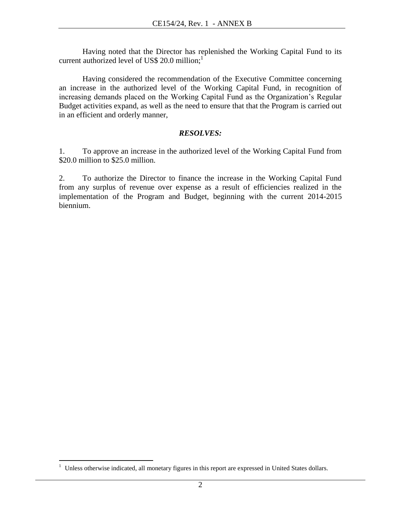Having noted that the Director has replenished the Working Capital Fund to its current authorized level of US\$ 20.0 million;<sup>1</sup>

Having considered the recommendation of the Executive Committee concerning an increase in the authorized level of the Working Capital Fund, in recognition of increasing demands placed on the Working Capital Fund as the Organization's Regular Budget activities expand, as well as the need to ensure that that the Program is carried out in an efficient and orderly manner,

### *RESOLVES:*

1. To approve an increase in the authorized level of the Working Capital Fund from \$20.0 million to \$25.0 million.

2. To authorize the Director to finance the increase in the Working Capital Fund from any surplus of revenue over expense as a result of efficiencies realized in the implementation of the Program and Budget, beginning with the current 2014-2015 biennium.

 $\overline{a}$ 

<sup>&</sup>lt;sup>1</sup> Unless otherwise indicated, all monetary figures in this report are expressed in United States dollars.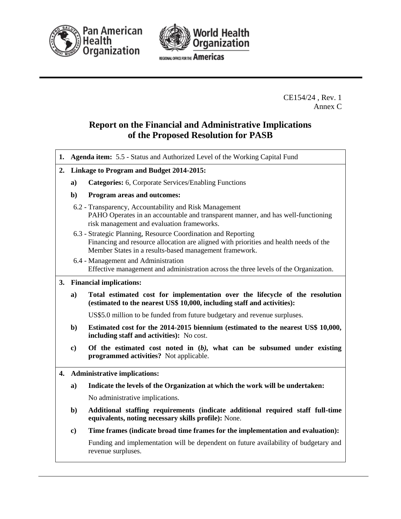



REGIONAL OFFICE FOR THE Americas

CE154/24 , Rev. 1 Annex C

## **Report on the Financial and Administrative Implications of the Proposed Resolution for PASB**

| 1. |                                          | Agenda item: 5.5 - Status and Authorized Level of the Working Capital Fund                                                                                                                                       |  |  |  |  |
|----|------------------------------------------|------------------------------------------------------------------------------------------------------------------------------------------------------------------------------------------------------------------|--|--|--|--|
| 2. | Linkage to Program and Budget 2014-2015: |                                                                                                                                                                                                                  |  |  |  |  |
|    | a)                                       | <b>Categories:</b> 6, Corporate Services/Enabling Functions                                                                                                                                                      |  |  |  |  |
|    | b)                                       | <b>Program areas and outcomes:</b>                                                                                                                                                                               |  |  |  |  |
|    |                                          | 6.2 - Transparency, Accountability and Risk Management<br>PAHO Operates in an accountable and transparent manner, and has well-functioning<br>risk management and evaluation frameworks.                         |  |  |  |  |
|    |                                          | 6.3 - Strategic Planning, Resource Coordination and Reporting<br>Financing and resource allocation are aligned with priorities and health needs of the<br>Member States in a results-based management framework. |  |  |  |  |
|    |                                          | 6.4 - Management and Administration<br>Effective management and administration across the three levels of the Organization.                                                                                      |  |  |  |  |
|    |                                          | 3. Financial implications:                                                                                                                                                                                       |  |  |  |  |
|    | a)                                       | Total estimated cost for implementation over the lifecycle of the resolution<br>(estimated to the nearest US\$ 10,000, including staff and activities):                                                          |  |  |  |  |
|    |                                          | US\$5.0 million to be funded from future budgetary and revenue surpluses.                                                                                                                                        |  |  |  |  |
|    | $\mathbf{b}$                             | Estimated cost for the 2014-2015 biennium (estimated to the nearest US\$ 10,000,<br>including staff and activities): No cost.                                                                                    |  |  |  |  |
|    | $\bf c)$                                 | Of the estimated cost noted in $(b)$ , what can be subsumed under existing<br>programmed activities? Not applicable.                                                                                             |  |  |  |  |
|    |                                          | 4. Administrative implications:                                                                                                                                                                                  |  |  |  |  |

**a) Indicate the levels of the Organization at which the work will be undertaken:**

No administrative implications.

- **b) Additional staffing requirements (indicate additional required staff full-time equivalents, noting necessary skills profile):** None.
- **c) Time frames (indicate broad time frames for the implementation and evaluation):**

Funding and implementation will be dependent on future availability of budgetary and revenue surpluses.